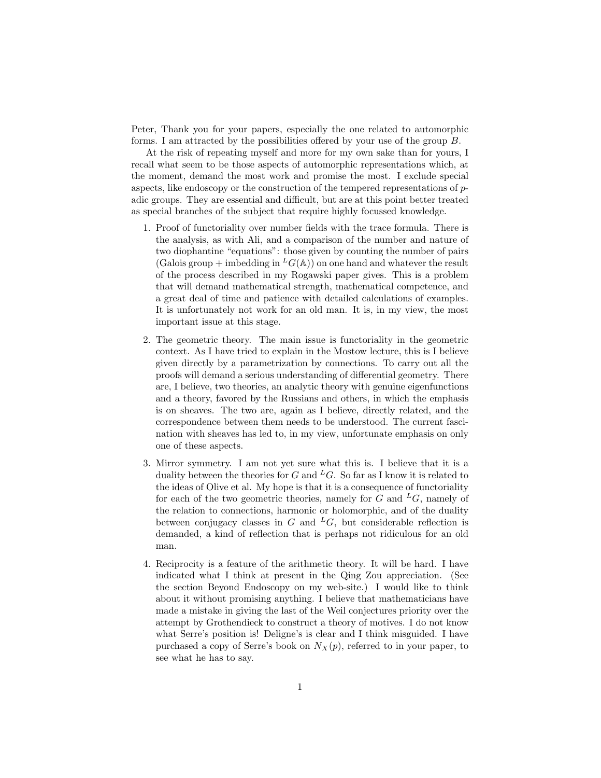Peter, Thank you for your papers, especially the one related to automorphic forms. I am attracted by the possibilities offered by your use of the group B.

At the risk of repeating myself and more for my own sake than for yours, I recall what seem to be those aspects of automorphic representations which, at the moment, demand the most work and promise the most. I exclude special aspects, like endoscopy or the construction of the tempered representations of padic groups. They are essential and difficult, but are at this point better treated as special branches of the subject that require highly focussed knowledge.

- 1. Proof of functoriality over number fields with the trace formula. There is the analysis, as with Ali, and a comparison of the number and nature of two diophantine "equations": those given by counting the number of pairs (Galois group + imbedding in  ${}^L G(\mathbb{A})$ ) on one hand and whatever the result of the process described in my Rogawski paper gives. This is a problem that will demand mathematical strength, mathematical competence, and a great deal of time and patience with detailed calculations of examples. It is unfortunately not work for an old man. It is, in my view, the most important issue at this stage.
- 2. The geometric theory. The main issue is functoriality in the geometric context. As I have tried to explain in the Mostow lecture, this is I believe given directly by a parametrization by connections. To carry out all the proofs will demand a serious understanding of differential geometry. There are, I believe, two theories, an analytic theory with genuine eigenfunctions and a theory, favored by the Russians and others, in which the emphasis is on sheaves. The two are, again as I believe, directly related, and the correspondence between them needs to be understood. The current fascination with sheaves has led to, in my view, unfortunate emphasis on only one of these aspects.
- 3. Mirror symmetry. I am not yet sure what this is. I believe that it is a duality between the theories for G and <sup>L</sup>G. So far as I know it is related to the ideas of Olive et al. My hope is that it is a consequence of functoriality for each of the two geometric theories, namely for G and  $^L G$ , namely of the relation to connections, harmonic or holomorphic, and of the duality between conjugacy classes in G and  ${}^L G$ , but considerable reflection is demanded, a kind of reflection that is perhaps not ridiculous for an old man.
- 4. Reciprocity is a feature of the arithmetic theory. It will be hard. I have indicated what I think at present in the Qing Zou appreciation. (See the section Beyond Endoscopy on my web-site.) I would like to think about it without promising anything. I believe that mathematicians have made a mistake in giving the last of the Weil conjectures priority over the attempt by Grothendieck to construct a theory of motives. I do not know what Serre's position is! Deligne's is clear and I think misguided. I have purchased a copy of Serre's book on  $N_X(p)$ , referred to in your paper, to see what he has to say.